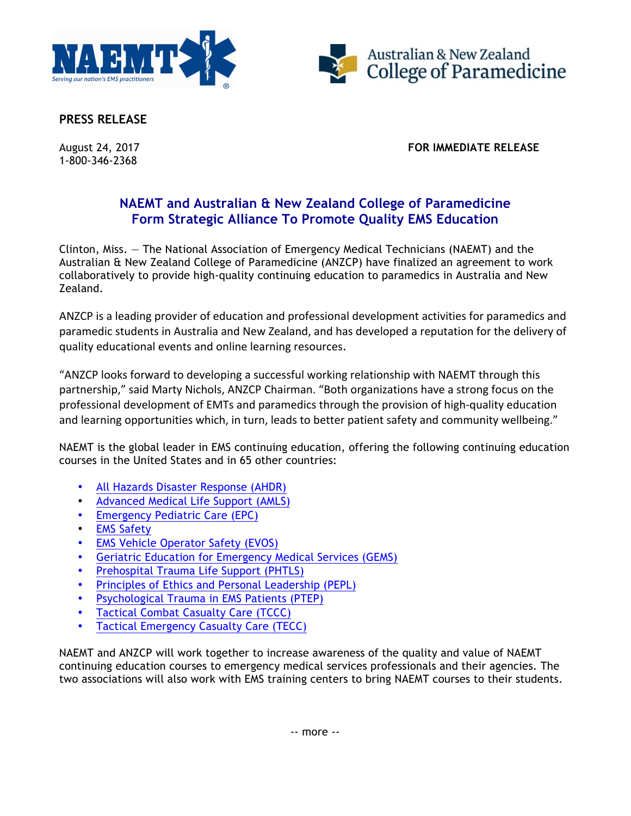



**PRESS RELEASE**

1-800-346-2368

August 24, 2017 **FOR IMMEDIATE RELEASE**

## **NAEMT and Australian & New Zealand College of Paramedicine Form Strategic Alliance To Promote Quality EMS Education**

Clinton, Miss. — The National Association of Emergency Medical Technicians (NAEMT) and the Australian & New Zealand College of Paramedicine (ANZCP) have finalized an agreement to work collaboratively to provide high-quality continuing education to paramedics in Australia and New Zealand.

ANZCP is a leading provider of education and professional development activities for paramedics and paramedic students in Australia and New Zealand, and has developed a reputation for the delivery of quality educational events and online learning resources.

"ANZCP looks forward to developing a successful working relationship with NAEMT through this partnership," said Marty Nichols, ANZCP Chairman. "Both organizations have a strong focus on the professional development of EMTs and paramedics through the provision of high-quality education and learning opportunities which, in turn, leads to better patient safety and community wellbeing."

NAEMT is the global leader in EMS continuing education, offering the following continuing education courses in the United States and in 65 other countries:

- [All Hazards Disaster Response \(AHDR\)](http://www.naemt.org/education/ahdr)
- [Advanced Medical Life Support \(AMLS\)](http://www.naemt.org/education/amls/AMLScourses.aspx)
- [Emergency Pediatric Care \(EPC\)](http://www.naemt.org/education/epc/EPCCourses.aspx)
- [EMS Safety](http://www.naemt.org/education/EMSSafety/whatisEMSSafety.aspx)
- [EMS Vehicle Operator Safety \(EVOS\)](http://www.naemt.org/education/evos)
- [Geriatric Education for Emergency Medical Services \(GEMS\)](http://www.naemt.org/education/GEMS/WhatisGEMS.aspx)
- [Prehospital Trauma Life Support \(PHTLS\)](http://www.naemt.org/education/PHTLS/PHTLScourses.aspx)
- [Principles of Ethics and Personal Leadership \(PEPL\)](http://www.naemt.org/education/PEPL/WhatIsPEPL.aspx)
- [Psychological Trauma in EMS Patients \(PTEP\)](http://www.naemt.org/education/ptep)
- [Tactical Combat Casualty Care \(TCCC\)](http://www.naemt.org/education/TCCC/Acout_TCCC.aspx)
- [Tactical Emergency Casualty Care \(TECC\)](http://www.naemt.org/education/tecc/what-is-tecc)

NAEMT and ANZCP will work together to increase awareness of the quality and value of NAEMT continuing education courses to emergency medical services professionals and their agencies. The two associations will also work with EMS training centers to bring NAEMT courses to their students.